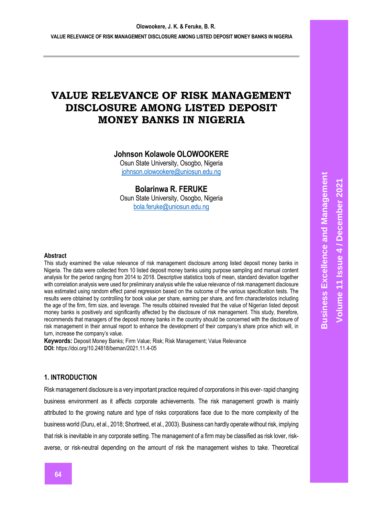# **VALUE RELEVANCE OF RISK MANAGEMENT DISCLOSURE AMONG LISTED DEPOSIT MONEY BANKS IN NIGERIA**

# **Johnson Kolawole OLOWOOKERE**

Osun State University, Osogbo, Nigeria [johnson.olowookere@uniosun.edu.ng](mailto:johnson.olowookere@uniosun.edu.ng)

**Bolarinwa R. FERUKE** Osun State University, Osogbo, Nigeria [bola.feruke@uniosun.edu.ng](mailto:bola.feruke@uniosun.edu.ng)

#### **Abstract**

This study examined the value relevance of risk management disclosure among listed deposit money banks in Nigeria. The data were collected from 10 listed deposit money banks using purpose sampling and manual content analysis for the period ranging from 2014 to 2018. Descriptive statistics tools of mean, standard deviation together with correlation analysis were used for preliminary analysis while the value relevance of risk management disclosure was estimated using random effect panel regression based on the outcome of the various specification tests. The results were obtained by controlling for book value per share, earning per share, and firm characteristics including the age of the firm, firm size, and leverage. The results obtained revealed that the value of Nigerian listed deposit money banks is positively and significantly affected by the disclosure of risk management. This study, therefore, recommends that managers of the deposit money banks in the country should be concerned with the disclosure of risk management in their annual report to enhance the development of their company's share price which will, in turn, increase the company's value.

**Keywords:** Deposit Money Banks; Firm Value; Risk; Risk Management; Value Relevance **DOI:** https://doi.org/10.24818/beman/2021.11.4-05

# **1. INTRODUCTION**

Risk management disclosure is a very important practice required of corporations in this ever- rapid changing business environment as it affects corporate achievements. The risk management growth is mainly attributed to the growing nature and type of risks corporations face due to the more complexity of the business world (Duru, et al., 2018; Shortreed, et al., 2003). Business can hardly operate without risk, implying that risk is inevitable in any corporate setting. The management of a firm may be classified as risk lover, riskaverse, or risk-neutral depending on the amount of risk the management wishes to take. Theoretical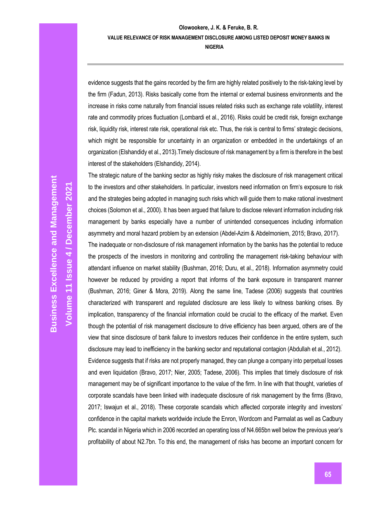evidence suggests that the gains recorded by the firm are highly related positively to the risk-taking level by the firm (Fadun, 2013). Risks basically come from the internal or external business environments and the increase in risks come naturally from financial issues related risks such as exchange rate volatility, interest rate and commodity prices fluctuation (Lombardi et al., 2016). Risks could be credit risk, foreign exchange risk, liquidity risk, interest rate risk, operational risk etc. Thus, the risk is central to firms' strategic decisions, which might be responsible for uncertainty in an organization or embedded in the undertakings of an organization (Elshandidy et al., 2013).Timely disclosure of risk management by a firm is therefore in the best interest of the stakeholders (Elshandidy, 2014).

The strategic nature of the banking sector as highly risky makes the disclosure of risk management critical to the investors and other stakeholders. In particular, investors need information on firm's exposure to risk and the strategies being adopted in managing such risks which will guide them to make rational investment choices (Solomon et al., 2000). It has been argued that failure to disclose relevant information including risk management by banks especially have a number of unintended consequences including information asymmetry and moral hazard problem by an extension (Abdel-Azim & Abdelmoniem, 2015; Bravo, 2017).

The inadequate or non-disclosure of risk management information by the banks has the potential to reduce the prospects of the investors in monitoring and controlling the management risk-taking behaviour with attendant influence on market stability (Bushman, 2016; Duru, et al., 2018). Information asymmetry could however be reduced by providing a report that informs of the bank exposure in transparent manner (Bushman, 2016; Giner & Mora, 2019). Along the same line, Tadese (2006) suggests that countries characterized with transparent and regulated disclosure are less likely to witness banking crises. By implication, transparency of the financial information could be crucial to the efficacy of the market. Even though the potential of risk management disclosure to drive efficiency has been argued, others are of the view that since disclosure of bank failure to investors reduces their confidence in the entire system, such disclosure may lead to inefficiency in the banking sector and reputational contagion (Abdullah et al., 2012). Evidence suggests that if risks are not properly managed, they can plunge a company into perpetual losses and even liquidation (Bravo, 2017; Nier, 2005; Tadese, 2006). This implies that timely disclosure of risk management may be of significant importance to the value of the firm. In line with that thought, varieties of corporate scandals have been linked with inadequate disclosure of risk management by the firms (Bravo, 2017; Iswajun et al., 2018). These corporate scandals which affected corporate integrity and investors' confidence in the capital markets worldwide include the Enron, Wordcom and Parmalat as well as Cadbury Plc. scandal in Nigeria which in 2006 recorded an operating loss of N4.665bn well below the previous year's profitability of about N2.7bn. To this end, the management of risks has become an important concern for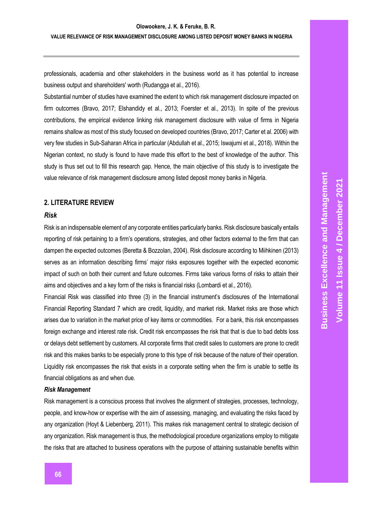#### **VALUE RELEVANCE OF RISK MANAGEMENT DISCLOSURE AMONG LISTED DEPOSIT MONEY BANKS IN NIGERIA**

professionals, academia and other stakeholders in the business world as it has potential to increase business output and shareholders' worth (Rudangga et al., 2016).

Substantial number of studies have examined the extent to which risk management disclosure impacted on firm outcomes (Bravo, 2017; Elshandidy et al., 2013; Foerster et al., 2013). In spite of the previous contributions, the empirical evidence linking risk management disclosure with value of firms in Nigeria remains shallow as most of this study focused on developed countries (Bravo, 2017; Carter et al. 2006) with very few studies in Sub-Saharan Africa in particular (Abdullah et al., 2015; Iswajumi et al., 2018). Within the Nigerian context, no study is found to have made this effort to the best of knowledge of the author. This study is thus set out to fill this research gap. Hence, the main objective of this study is to investigate the value relevance of risk management disclosure among listed deposit money banks in Nigeria.

# **2. LITERATURE REVIEW**

### *Risk*

Risk is an indispensable element of any corporate entities particularly banks. Risk disclosure basically entails reporting of risk pertaining to a firm's operations, strategies, and other factors external to the firm that can dampen the expected outcomes (Beretta & Bozzolan, 2004). Risk disclosure according to Miihkinen (2013) serves as an information describing firms' major risks exposures together with the expected economic impact of such on both their current and future outcomes. Firms take various forms of risks to attain their aims and objectives and a key form of the risks is financial risks (Lombardi et al., 2016).

Financial Risk was classified into three (3) in the financial instrument's disclosures of the International Financial Reporting Standard 7 which are credit, liquidity, and market risk. Market risks are those which arises due to variation in the market price of key items or commodities. For a bank, this risk encompasses foreign exchange and interest rate risk. Credit risk encompasses the risk that that is due to bad debts loss or delays debt settlement by customers. All corporate firms that credit sales to customers are prone to credit risk and this makes banks to be especially prone to this type of risk because of the nature of their operation. Liquidity risk encompasses the risk that exists in a corporate setting when the firm is unable to settle its financial obligations as and when due.

#### *Risk Management*

Risk management is a conscious process that involves the alignment of strategies, processes, technology, people, and know-how or expertise with the aim of assessing, managing, and evaluating the risks faced by any organization (Hoyt & Liebenberg, 2011). This makes risk management central to strategic decision of any organization. Risk management is thus, the methodological procedure organizations employ to mitigate the risks that are attached to business operations with the purpose of attaining sustainable benefits within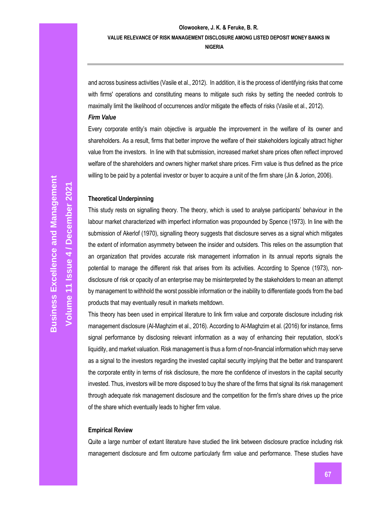# **Olowookere, J. K. & Feruke, B. R. VALUE RELEVANCE OF RISK MANAGEMENT DISCLOSURE AMONG LISTED DEPOSIT MONEY BANKS IN NIGERIA**

and across business activities (Vasile et al., 2012). In addition, it is the process of identifying risks that come with firms' operations and constituting means to mitigate such risks by setting the needed controls to maximally limit the likelihood of occurrences and/or mitigate the effects of risks (Vasile et al., 2012).

# *Firm Value*

Every corporate entity's main objective is arguable the improvement in the welfare of its owner and shareholders. As a result, firms that better improve the welfare of their stakeholders logically attract higher value from the investors. In line with that submission, increased market share prices often reflect improved welfare of the shareholders and owners higher market share prices. Firm value is thus defined as the price willing to be paid by a potential investor or buyer to acquire a unit of the firm share (Jin & Jorion, 2006).

# **Theoretical Underpinning**

This study rests on signalling theory. The theory, which is used to analyse participants' behaviour in the labour market characterized with imperfect information was propounded by Spence (1973). In line with the submission of Akerlof (1970), signalling theory suggests that disclosure serves as a signal which mitigates the extent of information asymmetry between the insider and outsiders. This relies on the assumption that an organization that provides accurate risk management information in its annual reports signals the potential to manage the different risk that arises from its activities. According to Spence (1973), nondisclosure of risk or opacity of an enterprise may be misinterpreted by the stakeholders to mean an attempt by management to withhold the worst possible information or the inability to differentiate goods from the bad products that may eventually result in markets meltdown.

This theory has been used in empirical literature to link firm value and corporate disclosure including risk management disclosure (Al-Maghzim et al., 2016). According to Al-Maghzim et al. (2016) for instance, firms signal performance by disclosing relevant information as a way of enhancing their reputation, stock's liquidity, and market valuation. Risk management is thus a form of non-financial information which may serve as a signal to the investors regarding the invested capital security implying that the better and transparent the corporate entity in terms of risk disclosure, the more the confidence of investors in the capital security invested. Thus, investors will be more disposed to buy the share of the firms that signal its risk management through adequate risk management disclosure and the competition for the firm's share drives up the price of the share which eventually leads to higher firm value.

#### **Empirical Review**

Quite a large number of extant literature have studied the link between disclosure practice including risk management disclosure and firm outcome particularly firm value and performance. These studies have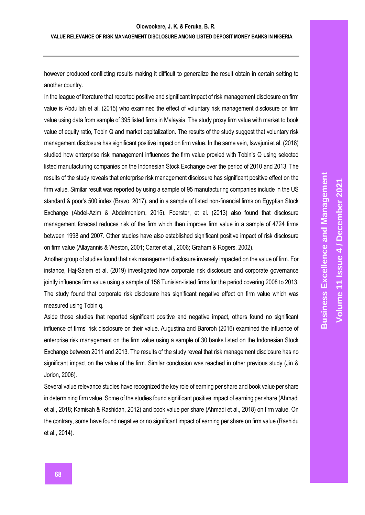however produced conflicting results making it difficult to generalize the result obtain in certain setting to another country.

In the league of literature that reported positive and significant impact of risk management disclosure on firm value is Abdullah et al. (2015) who examined the effect of voluntary risk management disclosure on firm value using data from sample of 395 listed firms in Malaysia. The study proxy firm value with market to book value of equity ratio, Tobin Q and market capitalization. The results of the study suggest that voluntary risk management disclosure has significant positive impact on firm value. In the same vein, Iswajuni et al. (2018) studied how enterprise risk management influences the firm value proxied with Tobin's Q using selected listed manufacturing companies on the Indonesian Stock Exchange over the period of 2010 and 2013. The results of the study reveals that enterprise risk management disclosure has significant positive effect on the firm value. Similar result was reported by using a sample of 95 manufacturing companies include in the US standard & poor's 500 index (Bravo, 2017), and in a sample of listed non-financial firms on Egyptian Stock Exchange (Abdel-Azim & Abdelmoniem, 2015). Foerster, et al. (2013) also found that disclosure management forecast reduces risk of the firm which then improve firm value in a sample of 4724 firms between 1998 and 2007. Other studies have also established significant positive impact of risk disclosure on firm value (Allayannis & Weston, 2001; Carter et al., 2006; Graham & Rogers, 2002).

Another group of studies found that risk management disclosure inversely impacted on the value of firm. For instance, Haj-Salem et al. (2019) investigated how corporate risk disclosure and corporate governance jointly influence firm value using a sample of 156 Tunisian-listed firms for the period covering 2008 to 2013. The study found that corporate risk disclosure has significant negative effect on firm value which was measured using Tobin q.

Aside those studies that reported significant positive and negative impact, others found no significant influence of firms' risk disclosure on their value. Augustina and Baroroh (2016) examined the influence of enterprise risk management on the firm value using a sample of 30 banks listed on the Indonesian Stock Exchange between 2011 and 2013. The results of the study reveal that risk management disclosure has no significant impact on the value of the firm. Similar conclusion was reached in other previous study (Jin & Jorion, 2006).

Several value relevance studies have recognized the key role of earning per share and book value per share in determining firm value. Some of the studies found significant positive impact of earning per share (Ahmadi et al., 2018; Kamisah & Rashidah, 2012) and book value per share (Ahmadi et al., 2018) on firm value. On the contrary, some have found negative or no significant impact of earning per share on firm value (Rashidu et al., 2014).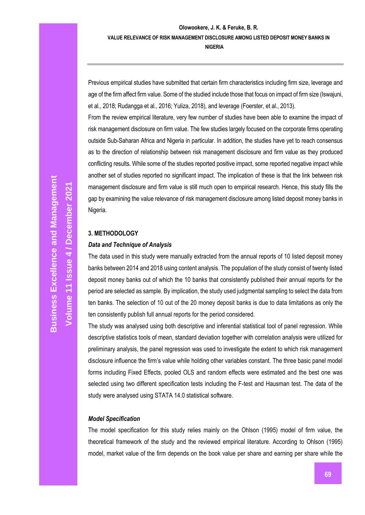Previous empirical studies have submitted that certain firm characteristics including firm size, leverage and age of the firm affect firm value. Some of the studied include those that focus on impact of firm size (Iswajuni, et al., 2018; Rudangga et al., 2016; Yuliza, 2018), and leverage (Foerster, et al., 2013).

From the review empirical literature, very few number of studies have been able to examine the impact of risk management disclosure on firm value. The few studies largely focused on the corporate firms operating outside Sub-Saharan Africa and Nigeria in particular. In addition, the studies have yet to reach consensus as to the direction of relationship between risk management disclosure and firm value as they produced conflicting results. While some of the studies reported positive impact, some reported negative impact while another set of studies reported no significant impact. The implication of these is that the link between risk management disclosure and firm value is still much open to empirical research. Hence, this study fills the gap by examining the value relevance of risk management disclosure among listed deposit money banks in Nigeria.

# **3. METHODOLOGY**

## *Data and Technique of Analysis*

The data used in this study were manually extracted from the annual reports of 10 listed deposit money banks between 2014 and 2018 using content analysis. The population of the study consist of twenty listed deposit money banks out of which the 10 banks that consistently published their annual reports for the period are selected as sample. By implication, the study used judgmental sampling to select the data from ten banks. The selection of 10 out of the 20 money deposit banks is due to data limitations as only the ten consistently publish full annual reports for the period considered.

The study was analysed using both descriptive and inferential statistical tool of panel regression. While descriptive statistics tools of mean, standard deviation together with correlation analysis were utilized for preliminary analysis, the panel regression was used to investigate the extent to which risk management disclosure influence the firm's value while holding other variables constant. The three basic panel model forms including Fixed Effects, pooled OLS and random effects were estimated and the best one was selected using two different specification tests including the F-test and Hausman test. The data of the study were analysed using STATA 14.0 statistical software.

### *Model Specification*

The model specification for this study relies mainly on the Ohlson (1995) model of firm value, the theoretical framework of the study and the reviewed empirical literature. According to Ohlson (1995) model, market value of the firm depends on the book value per share and earning per share while the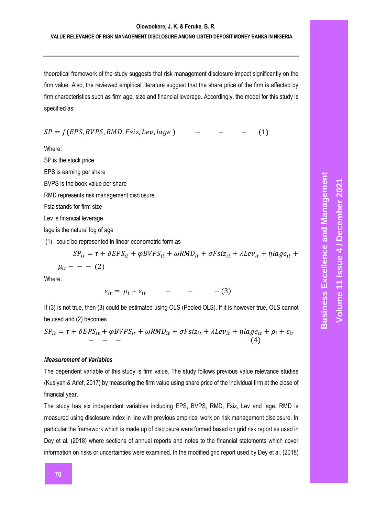#### **VALUE RELEVANCE OF RISK MANAGEMENT DISCLOSURE AMONG LISTED DEPOSIT MONEY BANKS IN NIGERIA**

theoretical framework of the study suggests that risk management disclosure impact significantly on the firm value. Also, the reviewed empirical literature suggest that the share price of the firm is affected by firm characteristics such as firm age, size and financial leverage. Accordingly, the model for this study is specified as:

 $SP = f(EPS, BVPS, RMD, Fsize, Lev, laae)$  – – (1)

Where:

SP is the stock price

EPS is earning per share

BVPS is the book value per share

RMD represents risk management disclosure

Fsiz stands for firm size

Lev is financial leverage

lage is the natural log of age

(1) could be represented in linear econometric form as

$$
SP_{it} = \tau + \vartheta EPS_{it} + \varphi BVPS_{it} + \omega RMD_{it} + \sigma Fsiz_{it} + \lambda Lev_{it} + \eta lage_{it} + \mu_{it} - - - (2)
$$

Where:

 $\varepsilon_{it} = \rho_i + \varepsilon_{it}$  – – (3)

If (3) is not true, then (3) could be estimated using OLS (Pooled OLS). If it is however true, OLS cannot be used and (2) becomes

$$
SP_{it} = \tau + \vartheta EPS_{it} + \varphi BVPS_{it} + \omega RMD_{it} + \sigma Fsiz_{it} + \lambda Lev_{it} + \eta lage_{it} + \rho_i + \varepsilon_{it}
$$
  
(4)

### *Measurement of Variables*

The dependent variable of this study is firm value. The study follows previous value relevance studies (Kusiyah & Arief, 2017) by measuring the firm value using share price of the individual firm at the close of financial year.

The study has six independent variables including EPS, BVPS, RMD, Fsiz, Lev and lage. RMD is measured using disclosure index in line with previous empirical work on risk management disclosure. In particular the framework which is made up of disclosure were formed based on grid risk report as used in Dey et al. (2018) where sections of annual reports and notes to the financial statements which cover information on risks or uncertainties were examined. In the modified grid report used by Dey et al. (2018)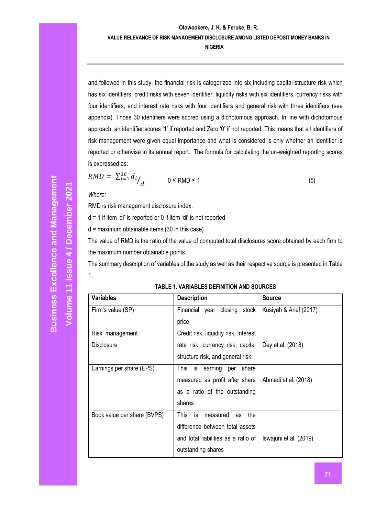# **Olowookere, J. K. & Feruke, B. R. VALUE RELEVANCE OF RISK MANAGEMENT DISCLOSURE AMONG LISTED DEPOSIT MONEY BANKS IN NIGERIA**

and followed in this study, the financial risk is categorized into six including capital structure risk which has six identifiers, credit risks with seven identifier, liquidity risks with six identifiers, currency risks with four identifiers, and interest rate risks with four identifiers and general risk with three identifiers (see appendix). Those 30 identifiers were scored using a dichotomous approach. In line with dichotomous approach, an identifier scores '1' if reported and Zero '0' if not reported. This means that all identifiers of risk management were given equal importance and what is considered is only whether an identifier is reported or otherwise in its annual report. The formula for calculating the un-weighted reporting scores is expressed as:

$$
RMD = \sum_{i=1}^{30} d_i / \frac{d}{d} \qquad 0 \le RMD \le 1 \tag{5}
$$

*Where:*

RMD is risk management disclosure index.

 $d = 1$  if item 'di' is reported or 0 if item 'di' is not reported

d = maximum obtainable items (30 in this case)

The value of RMD is the ratio of the value of computed total disclosures score obtained by each firm to the maximum number obtainable points.

The summary description of variables of the study as well as their respective source is presented in Table 1.

| <b>Variables</b>            | <b>Description</b>                    | <b>Source</b>          |
|-----------------------------|---------------------------------------|------------------------|
| Firm's value (SP)           | Financial year closing stock          | Kusiyah & Arief (2017) |
|                             | price                                 |                        |
| Risk management             | Credit risk, liquidity risk, Interest |                        |
| <b>Disclosure</b>           | rate risk, currency risk, capital     | Dey et al. (2018)      |
|                             | structure risk, and general risk      |                        |
| Earnings per share (EPS)    | This is<br>earning<br>share<br>per    |                        |
|                             | measured as profit after share        | Ahmadi et al. (2018)   |
|                             | as a ratio of the outstanding         |                        |
|                             | shares                                |                        |
| Book value per share (BVPS) | This<br>is<br>the<br>measured<br>as   |                        |
|                             | difference between total assets       |                        |
|                             | and total liabilities as a ratio of   | Iswajuni et al. (2019) |
|                             | outstanding shares                    |                        |

| <b>TABLE 1. VARIABLES DEFINITION AND SOURCES</b> |  |  |
|--------------------------------------------------|--|--|
|--------------------------------------------------|--|--|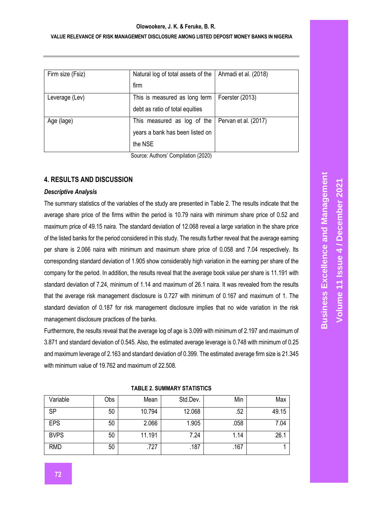#### **VALUE RELEVANCE OF RISK MANAGEMENT DISCLOSURE AMONG LISTED DEPOSIT MONEY BANKS IN NIGERIA**

| Firm size (Fsiz) | Natural log of total assets of the | Ahmadi et al. (2018) |
|------------------|------------------------------------|----------------------|
|                  |                                    |                      |
|                  | firm                               |                      |
| Leverage (Lev)   | This is measured as long term      | Foerster (2013)      |
|                  | debt as ratio of total equities    |                      |
| Age (lage)       | This measured as log of the        | Pervan et al. (2017) |
|                  | years a bank has been listed on    |                      |
|                  | the NSE                            |                      |

Source: Authors' Compilation (2020)

# **4. RESULTS AND DISCUSSION**

### *Descriptive Analysis*

The summary statistics of the variables of the study are presented in Table 2. The results indicate that the average share price of the firms within the period is 10.79 naira with minimum share price of 0.52 and maximum price of 49.15 naira. The standard deviation of 12.068 reveal a large variation in the share price of the listed banks for the period considered in this study. The results further reveal that the average earning per share is 2.066 naira with minimum and maximum share price of 0.058 and 7.04 respectively. Its corresponding standard deviation of 1.905 show considerably high variation in the earning per share of the company for the period. In addition, the results reveal that the average book value per share is 11.191 with standard deviation of 7.24, minimum of 1.14 and maximum of 26.1 naira. It was revealed from the results that the average risk management disclosure is 0.727 with minimum of 0.167 and maximum of 1. The standard deviation of 0.187 for risk management disclosure implies that no wide variation in the risk management disclosure practices of the banks.

Furthermore, the results reveal that the average log of age is 3.099 with minimum of 2.197 and maximum of 3.871 and standard deviation of 0.545. Also, the estimated average leverage is 0.748 with minimum of 0.25 and maximum leverage of 2.163 and standard deviation of 0.399. The estimated average firm size is 21.345 with minimum value of 19.762 and maximum of 22.508.

| Variable    | Obs | Mean   | Std.Dev. | Min  | Max   |
|-------------|-----|--------|----------|------|-------|
| SP          | 50  | 10.794 | 12.068   | .52  | 49.15 |
| <b>EPS</b>  | 50  | 2.066  | 1.905    | .058 | 7.04  |
| <b>BVPS</b> | 50  | 11.191 | 7.24     | 1.14 | 26.1  |
| <b>RMD</b>  | 50  | .727   | .187     | .167 |       |

#### **TABLE 2. SUMMARY STATISTICS**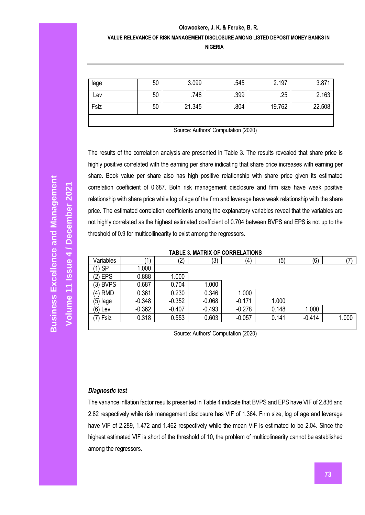# **VALUE RELEVANCE OF RISK MANAGEMENT DISCLOSURE AMONG LISTED DEPOSIT MONEY BANKS IN**

**NIGERIA**

| lage | 50 | 3.099  | .545 | 2.197  | 3.871  |
|------|----|--------|------|--------|--------|
| Lev  | 50 | .748   | .399 | .25    | 2.163  |
| Fsiz | 50 | 21.345 | .804 | 19.762 | 22.508 |
|      |    |        |      |        |        |

Source: Authors' Computation (2020)

The results of the correlation analysis are presented in Table 3. The results revealed that share price is highly positive correlated with the earning per share indicating that share price increases with earning per share. Book value per share also has high positive relationship with share price given its estimated correlation coefficient of 0.687. Both risk management disclosure and firm size have weak positive relationship with share price while log of age of the firm and leverage have weak relationship with the share price. The estimated correlation coefficients among the explanatory variables reveal that the variables are not highly correlated as the highest estimated coefficient of 0.704 between BVPS and EPS is not up to the threshold of 0.9 for multicollinearity to exist among the regressors.

| <b>TABLE 3. MATRIX OF CORRELATIONS</b> |          |                   |          |          |       |          |       |
|----------------------------------------|----------|-------------------|----------|----------|-------|----------|-------|
| Variables                              |          | $\left( 2\right)$ | (3)      | (4)      | (5)   | (6)      |       |
| (1) SP                                 | 1.000    |                   |          |          |       |          |       |
| $(2)$ EPS                              | 0.888    | 1.000             |          |          |       |          |       |
| $(3)$ BVPS                             | 0.687    | 0.704             | 1.000    |          |       |          |       |
| $(4)$ RMD                              | 0.361    | 0.230             | 0.346    | 1.000    |       |          |       |
| $(5)$ lage                             | $-0.348$ | $-0.352$          | $-0.068$ | $-0.171$ | 1.000 |          |       |
| $(6)$ Lev                              | $-0.362$ | $-0.407$          | $-0.493$ | $-0.278$ | 0.148 | 1.000    |       |
| (7) Fsiz                               | 0.318    | 0.553             | 0.603    | $-0.057$ | 0.141 | $-0.414$ | 1.000 |
|                                        |          |                   |          |          |       |          |       |

Source: Authors' Computation (2020)

## *Diagnostic test*

The variance inflation factor results presented in Table 4 indicate that BVPS and EPS have VIF of 2.836 and 2.82 respectively while risk management disclosure has VIF of 1.364. Firm size, log of age and leverage have VIF of 2.289, 1.472 and 1.462 respectively while the mean VIF is estimated to be 2.04. Since the highest estimated VIF is short of the threshold of 10, the problem of multicolinearity cannot be established among the regressors.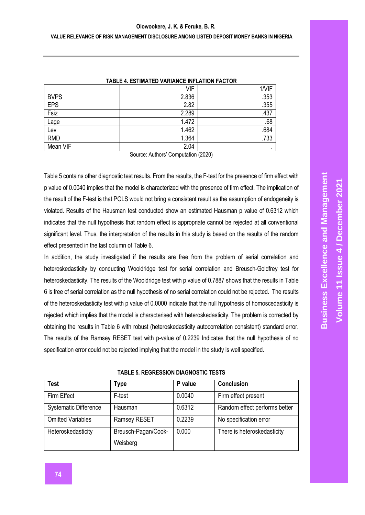### **VALUE RELEVANCE OF RISK MANAGEMENT DISCLOSURE AMONG LISTED DEPOSIT MONEY BANKS IN NIGERIA**

| ורטו טאז רוטוואס וויו סטוואוויט שם ומווורטם וד סטאד |       |       |  |  |
|-----------------------------------------------------|-------|-------|--|--|
|                                                     | VIF   | 1/VIF |  |  |
| <b>BVPS</b>                                         | 2.836 | .353  |  |  |
| <b>EPS</b>                                          | 2.82  | .355  |  |  |
| $F$ siz                                             | 2.289 | .437  |  |  |
| Lage                                                | 1.472 | .68   |  |  |
| Lev                                                 | 1.462 | .684  |  |  |
| <b>RMD</b>                                          | 1.364 | .733  |  |  |
| Mean VIF                                            | 2.04  |       |  |  |

#### **TABLE 4. ESTIMATED VARIANCE INFLATION FACTOR**

Source: Authors' Computation (2020)

Table 5 contains other diagnostic test results. From the results, the F-test for the presence of firm effect with p value of 0.0040 implies that the model is characterized with the presence of firm effect. The implication of the result of the F-test is that POLS would not bring a consistent result as the assumption of endogeneity is violated. Results of the Hausman test conducted show an estimated Hausman p value of 0.6312 which indicates that the null hypothesis that random effect is appropriate cannot be rejected at all conventional significant level. Thus, the interpretation of the results in this study is based on the results of the random effect presented in the last column of Table 6.

In addition, the study investigated if the results are free from the problem of serial correlation and heteroskedasticity by conducting Wooldridge test for serial correlation and Breusch-Goldfrey test for heteroskedasticity. The results of the Wooldridge test with p value of 0.7887 shows that the results in Table 6 is free of serial correlation as the null hypothesis of no serial correlation could not be rejected. The results of the heteroskedasticity test with p value of 0.0000 indicate that the null hypothesis of homoscedasticity is rejected which implies that the model is characterised with heteroskedasticity. The problem is corrected by obtaining the results in Table 6 with robust (heteroskedasticity autocorrelation consistent) standard error. The results of the Ramsey RESET test with p-value of 0.2239 Indicates that the null hypothesis of no specification error could not be rejected implying that the model in the study is well specified.

|  | <b>TABLE 5. REGRESSION DIAGNOSTIC TESTS</b> |  |  |
|--|---------------------------------------------|--|--|
|--|---------------------------------------------|--|--|

| <b>Test</b>                  | Type                | P value | <b>Conclusion</b>             |
|------------------------------|---------------------|---------|-------------------------------|
| Firm Effect                  | F-test              | 0.0040  | Firm effect present           |
| <b>Systematic Difference</b> | Hausman             | 0.6312  | Random effect performs better |
| <b>Omitted Variables</b>     | Ramsey RESET        | 0.2239  | No specification error        |
| Heteroskedasticity           | Breusch-Pagan/Cook- | 0.000   | There is heteroskedasticity   |
|                              | Weisberg            |         |                               |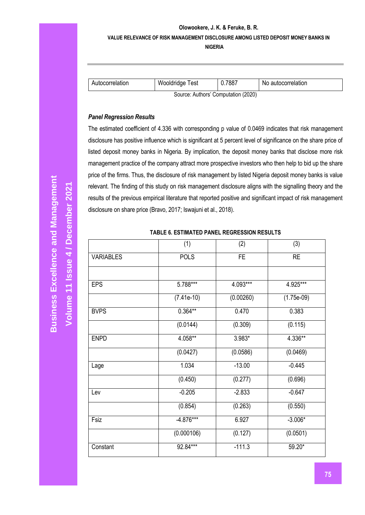**VALUE RELEVANCE OF RISK MANAGEMENT DISCLOSURE AMONG LISTED DEPOSIT MONEY BANKS IN** 

**NIGERIA**

| Autocorrelation                     | Wooldridge Test | 0.7887 | No autocorrelation |  |  |
|-------------------------------------|-----------------|--------|--------------------|--|--|
| Source: Authors' Computation (2020) |                 |        |                    |  |  |

# *Panel Regression Results*

The estimated coefficient of 4.336 with corresponding p value of 0.0469 indicates that risk management disclosure has positive influence which is significant at 5 percent level of significance on the share price of listed deposit money banks in Nigeria. By implication, the deposit money banks that disclose more risk management practice of the company attract more prospective investors who then help to bid up the share price of the firms. Thus, the disclosure of risk management by listed Nigeria deposit money banks is value relevant. The finding of this study on risk management disclosure aligns with the signalling theory and the results of the previous empirical literature that reported positive and significant impact of risk management disclosure on share price (Bravo, 2017; Iswajuni et al., 2018).

|  |  |  | TABLE 6. ESTIMATED PANEL REGRESSION RESULTS |
|--|--|--|---------------------------------------------|
|--|--|--|---------------------------------------------|

|                  | (1)          | (2)       | (3)           |
|------------------|--------------|-----------|---------------|
| <b>VARIABLES</b> | <b>POLS</b>  | FE        | <b>RE</b>     |
|                  |              |           |               |
| <b>EPS</b>       | 5.788***     | 4.093***  | 4.925***      |
|                  | $(7.41e-10)$ | (0.00260) | $(1.75e-0.9)$ |
| <b>BVPS</b>      | $0.364**$    | 0.470     | 0.383         |
|                  | (0.0144)     | (0.309)   | (0.115)       |
| <b>ENPD</b>      | 4.058**      | 3.983*    | 4.336**       |
|                  | (0.0427)     | (0.0586)  | (0.0469)      |
| Lage             | 1.034        | $-13.00$  | $-0.445$      |
|                  | (0.450)      | (0.277)   | (0.696)       |
| Lev              | $-0.205$     | $-2.833$  | $-0.647$      |
|                  | (0.854)      | (0.263)   | (0.550)       |
| Fsiz             | $-4.876***$  | 6.927     | $-3.006*$     |
|                  | (0.000106)   | (0.127)   | (0.0501)      |
| Constant         | 92.84***     | $-111.3$  | 59.20*        |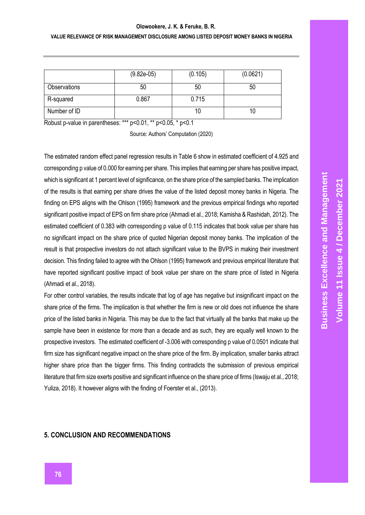#### **VALUE RELEVANCE OF RISK MANAGEMENT DISCLOSURE AMONG LISTED DEPOSIT MONEY BANKS IN NIGERIA**

|              | $(9.82e-05)$ | (0.105) | (0.0621) |
|--------------|--------------|---------|----------|
| Observations | 50           | 50      | 50       |
| R-squared    | 0.867        | 0.715   |          |
| Number of ID |              | 10      | 10       |

Robust p-value in parentheses: \*\*\* p<0.01, \*\* p<0.05, \* p<0.1

Source: Authors' Computation (2020)

The estimated random effect panel regression results in Table 6 show in estimated coefficient of 4.925 and corresponding p value of 0.000 for earning per share. This implies that earning per share has positive impact, which is significant at 1 percent level of significance, on the share price of the sampled banks. The implication of the results is that earning per share drives the value of the listed deposit money banks in Nigeria. The finding on EPS aligns with the Ohlson (1995) framework and the previous empirical findings who reported significant positive impact of EPS on firm share price (Ahmadi et al., 2018; Kamisha & Rashidah, 2012). The estimated coefficient of 0.383 with corresponding p value of 0.115 indicates that book value per share has no significant impact on the share price of quoted Nigerian deposit money banks. The implication of the result is that prospective investors do not attach significant value to the BVPS in making their investment decision. This finding failed to agree with the Ohlson (1995) framework and previous empirical literature that have reported significant positive impact of book value per share on the share price of listed in Nigeria (Ahmadi et al., 2018).

For other control variables, the results indicate that log of age has negative but insignificant impact on the share price of the firms. The implication is that whether the firm is new or old does not influence the share price of the listed banks in Nigeria. This may be due to the fact that virtually all the banks that make up the sample have been in existence for more than a decade and as such, they are equally well known to the prospective investors. The estimated coefficient of -3.006 with corresponding p value of 0.0501 indicate that firm size has significant negative impact on the share price of the firm. By implication, smaller banks attract higher share price than the bigger firms. This finding contradicts the submission of previous empirical literature that firm size exerts positive and significant influence on the share price of firms (Iswaju et al., 2018; Yuliza, 2018). It however aligns with the finding of Foerster et al., (2013).

### **5. CONCLUSION AND RECOMMENDATIONS**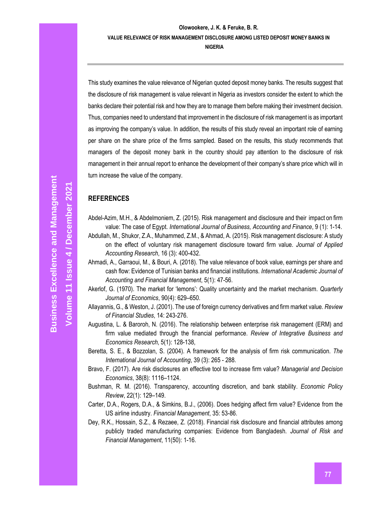This study examines the value relevance of Nigerian quoted deposit money banks. The results suggest that the disclosure of risk management is value relevant in Nigeria as investors consider the extent to which the banks declare their potential risk and how they are to manage them before making their investment decision. Thus, companies need to understand that improvement in the disclosure of risk management is as important as improving the company's value. In addition, the results of this study reveal an important role of earning per share on the share price of the firms sampled. Based on the results, this study recommends that managers of the deposit money bank in the country should pay attention to the disclosure of risk management in their annual report to enhance the development of their company's share price which will in turn increase the value of the company.

# **REFERENCES**

- Abdel-Azim, M.H., & Abdelmoniem, Z. (2015). Risk management and disclosure and their impact on firm value: The case of Egypt. *International Journal of Business, Accounting and Finance*, 9 (1): 1-14.
- Abdullah, M., Shukor, Z.A., Muhammed, Z.M., & Ahmad, A. (2015). Risk management disclosure: A study on the effect of voluntary risk management disclosure toward firm value. *Journal of Applied Accounting Research*, 16 (3): 400-432.
- Ahmadi, A., Garraoui, M., & Bouri, A. (2018). The value relevance of book value, earnings per share and cash flow: Evidence of Tunisian banks and financial institutions. *International Academic Journal of Accounting and Financial Management*, 5(1): 47-56.
- Akerlof, G. (1970). The market for 'lemons': Quality uncertainty and the market mechanism. *Quarterly Journal of Economics*, 90(4): 629–650.
- Allayannis, G., & Weston, J. (2001). The use of foreign currency derivatives and firm market value. *Review of Financial Studies*, 14: 243-276.
- Augustina, L. & Baroroh, N. (2016). The relationship between enterprise risk management (ERM) and firm value mediated through the financial performance. *Review of Integrative Business and Economics Research*, 5(1): 128-138,
- Beretta, S. E., & Bozzolan, S. (2004). A framework for the analysis of firm risk communication. *The International Journal of Accounting*, 39 (3): 265 - 288.
- Bravo, F. (2017). Are risk disclosures an effective tool to increase firm value? *Managerial and Decision Economics*, 38(8): 1116–1124.
- Bushman, R. M. (2016). Transparency, accounting discretion, and bank stability. *Economic Policy Review*, 22(1): 129–149.
- Carter, D.A., Rogers, D.A., & Simkins, B.J., (2006). Does hedging affect firm value? Evidence from the US airline industry. *Financial Management*, 35: 53-86.
- Dey, R.K., Hossain, S.Z., & Rezaee, Z. (2018). Financial risk disclosure and financial attributes among publicly traded manufacturing companies: Evidence from Bangladesh. *Journal of Risk and Financial Management*, 11(50): 1-16.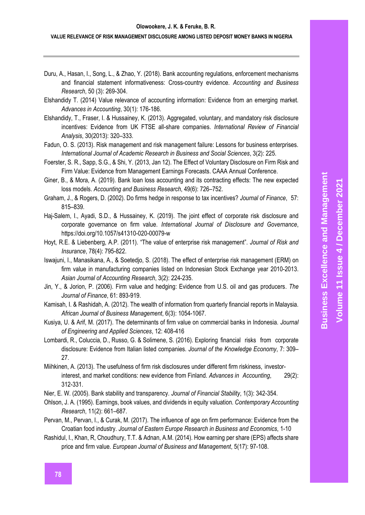### **VALUE RELEVANCE OF RISK MANAGEMENT DISCLOSURE AMONG LISTED DEPOSIT MONEY BANKS IN NIGERIA**

- Duru, A., Hasan, I., Song, L., & Zhao, Y. (2018). Bank accounting regulations, enforcement mechanisms and financial statement informativeness: Cross-country evidence. *Accounting and Business Research*, 50 (3): 269-304.
- Elshandidy T. (2014) Value relevance of accounting information: Evidence from an emerging market. *Advances in Accounting*, 30(1): 176-186.
- Elshandidy, T., Fraser, I. & Hussainey, K. (2013). Aggregated, voluntary, and mandatory risk disclosure incentives: Evidence from UK FTSE all-share companies. *International Review of Financial Analysis*, 30(2013): 320–333.
- Fadun, O. S. (2013). Risk management and risk management failure: Lessons for business enterprises. *International Journal of Academic Research in Business and Social Sciences*, 3(2): 225.
- Foerster, S. R., Sapp, S.G., & Shi, Y. (2013, Jan 12). The Effect of Voluntary Disclosure on Firm Risk and Firm Value: Evidence from Management Earnings Forecasts. CAAA Annual Conference.
- Giner, B., & Mora, A. (2019). Bank loan loss accounting and its contracting effects: The new expected loss models. *Accounting and Business Research*, 49(6): 726–752.
- Graham, J., & Rogers, D. (2002). Do firms hedge in response to tax incentives? *Journal of Finance*, 57: 815–839.
- Haj-Salem, I., Ayadi, S.D., & Hussainey, K. (2019). The joint effect of corporate risk disclosure and corporate governance on firm value. *International Journal of Disclosure and Governance*, https://doi.org/10.1057/s41310-020-00079-w
- Hoyt, R.E. & Liebenberg, A.P. (2011). "The value of enterprise risk management". *Journal of Risk and Insurance*, 78(4): 795-822.
- Iswajuni, I., Manasikana, A., & Soetedjo, S. (2018). The effect of enterprise risk management (ERM) on firm value in manufacturing companies listed on Indonesian Stock Exchange year 2010-2013. *Asian Journal of Accounting Research*, 3(2): 224-235.
- Jin, Y., & Jorion, P. (2006). Firm value and hedging: Evidence from U.S. oil and gas producers. *The Journal of Finance*, 61: 893-919.
- Kamisah, I. & Rashidah, A. (2012). The wealth of information from quarterly financial reports in Malaysia. *African Journal of Business Management*, 6(3): 1054-1067.
- Kusiya, U. & Arif, M. (2017). The determinants of firm value on commercial banks in Indonesia. *Journal of Engineering and Applied Sciences*, 12: 408-416
- Lombardi, R., Coluccia, D., Russo, G. & Solimene, S. (2016). Exploring financial risks from corporate disclosure: Evidence from Italian listed companies. *Journal of the Knowledge Economy*, 7: 309– 27.
- Miihkinen, A. (2013). The usefulness of firm risk disclosures under different firm riskiness, investorinterest, and market conditions: new evidence from Finland. *Advances in Accounting*, 29(2): 312-331.
- Nier, E. W. (2005). Bank stability and transparency. *Journal of Financial Stability*, 1(3): 342-354.
- Ohlson, J. A. (1995). Earnings, book values, and dividends in equity valuation. *Contemporary Accounting Research*, 11(2): 661–687.
- Pervan, M., Pervan, I., & Curak, M. (2017). The influence of age on firm performance: Evidence from the Croatian food industry. *Journal of Eastern Europe Research in Business and Economics*, 1-10
- Rashidul, I., Khan, R, Choudhury, T.T. & Adnan, A.M. (2014). How earning per share (EPS) affects share price and firm value. *European Journal of Business and Management*, 5(17): 97-108.